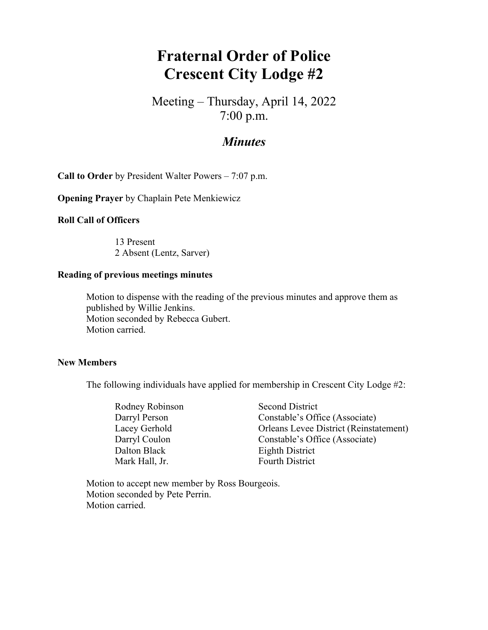# **Fraternal Order of Police Crescent City Lodge #2**

Meeting – Thursday, April 14, 2022 7:00 p.m.

# *Minutes*

**Call to Order** by President Walter Powers – 7:07 p.m.

**Opening Prayer** by Chaplain Pete Menkiewicz

# **Roll Call of Officers**

13 Present 2 Absent (Lentz, Sarver)

#### **Reading of previous meetings minutes**

Motion to dispense with the reading of the previous minutes and approve them as published by Willie Jenkins. Motion seconded by Rebecca Gubert. Motion carried.

#### **New Members**

The following individuals have applied for membership in Crescent City Lodge #2:

| Rodney Robinson | <b>Second District</b>                 |
|-----------------|----------------------------------------|
| Darryl Person   | Constable's Office (Associate)         |
| Lacey Gerhold   | Orleans Levee District (Reinstatement) |
| Darryl Coulon   | Constable's Office (Associate)         |
| Dalton Black    | Eighth District                        |
| Mark Hall, Jr.  | <b>Fourth District</b>                 |
|                 |                                        |

Motion to accept new member by Ross Bourgeois. Motion seconded by Pete Perrin. Motion carried.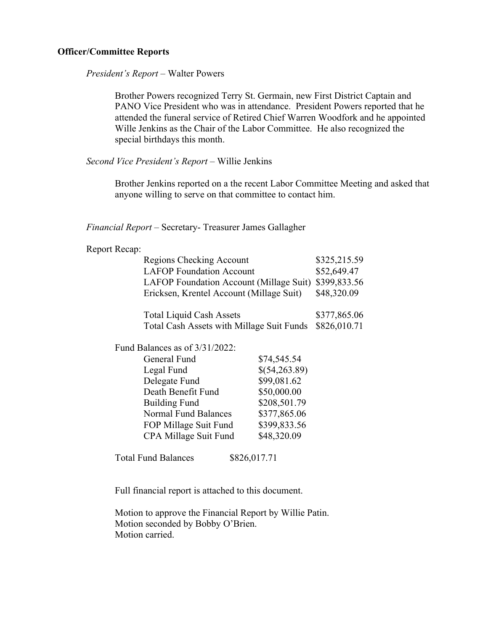#### **Officer/Committee Reports**

*President's Report –* Walter Powers

Brother Powers recognized Terry St. Germain, new First District Captain and PANO Vice President who was in attendance. President Powers reported that he attended the funeral service of Retired Chief Warren Woodfork and he appointed Wille Jenkins as the Chair of the Labor Committee. He also recognized the special birthdays this month.

*Second Vice President's Report –* Willie Jenkins

Brother Jenkins reported on a the recent Labor Committee Meeting and asked that anyone willing to serve on that committee to contact him.

*Financial Report* – Secretary- Treasurer James Gallagher

# Report Recap:

| Regions Checking Account                  |               | \$325,215.59 |
|-------------------------------------------|---------------|--------------|
| <b>LAFOP Foundation Account</b>           |               | \$52,649.47  |
| LAFOP Foundation Account (Millage Suit)   |               | \$399,833.56 |
| Ericksen, Krentel Account (Millage Suit)  |               | \$48,320.09  |
| <b>Total Liquid Cash Assets</b>           | \$377,865.06  |              |
| Total Cash Assets with Millage Suit Funds |               | \$826,010.71 |
| Fund Balances as of $3/31/2022$ :         |               |              |
| General Fund                              | \$74,545.54   |              |
| Legal Fund                                | \$(54,263.89) |              |
| Delegate Fund                             | \$99,081.62   |              |
| Death Benefit Fund                        | \$50,000.00   |              |
| <b>Building Fund</b>                      | \$208,501.79  |              |
| Normal Fund Balances                      | \$377,865.06  |              |
| FOP Millage Suit Fund                     | \$399,833.56  |              |
| CPA Millage Suit Fund<br>\$48,320.09      |               |              |
| <b>Total Fund Balances</b>                | \$826,017.71  |              |

Full financial report is attached to this document.

Motion to approve the Financial Report by Willie Patin. Motion seconded by Bobby O'Brien. Motion carried.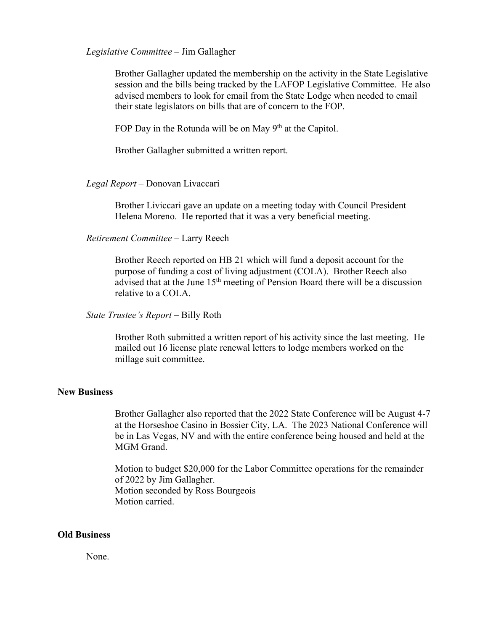#### *Legislative Committee –* Jim Gallagher

Brother Gallagher updated the membership on the activity in the State Legislative session and the bills being tracked by the LAFOP Legislative Committee. He also advised members to look for email from the State Lodge when needed to email their state legislators on bills that are of concern to the FOP.

FOP Day in the Rotunda will be on May 9<sup>th</sup> at the Capitol.

Brother Gallagher submitted a written report.

*Legal Report –* Donovan Livaccari

Brother Liviccari gave an update on a meeting today with Council President Helena Moreno. He reported that it was a very beneficial meeting.

#### *Retirement Committee –* Larry Reech

Brother Reech reported on HB 21 which will fund a deposit account for the purpose of funding a cost of living adjustment (COLA). Brother Reech also advised that at the June 15th meeting of Pension Board there will be a discussion relative to a COLA.

*State Trustee's Report –* Billy Roth

Brother Roth submitted a written report of his activity since the last meeting. He mailed out 16 license plate renewal letters to lodge members worked on the millage suit committee.

#### **New Business**

Brother Gallagher also reported that the 2022 State Conference will be August 4-7 at the Horseshoe Casino in Bossier City, LA. The 2023 National Conference will be in Las Vegas, NV and with the entire conference being housed and held at the MGM Grand.

Motion to budget \$20,000 for the Labor Committee operations for the remainder of 2022 by Jim Gallagher. Motion seconded by Ross Bourgeois Motion carried.

# **Old Business**

None.